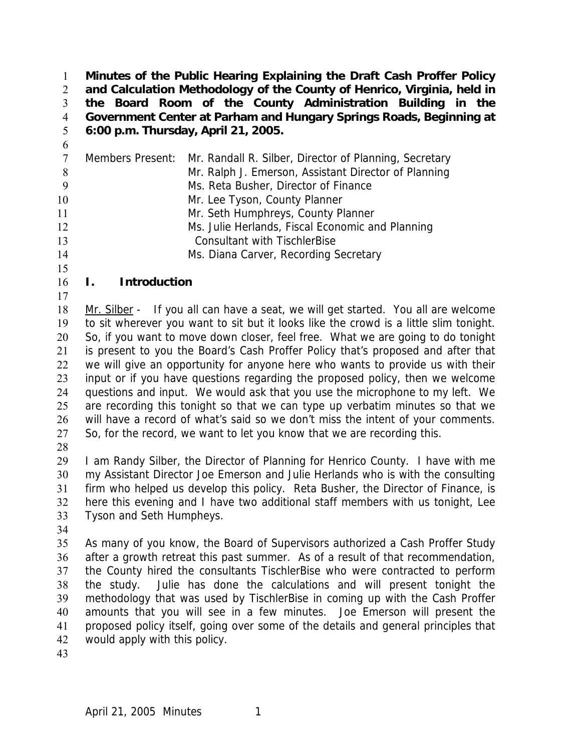**Minutes of the Public Hearing Explaining the Draft Cash Proffer Policy and Calculation Methodology of the County of Henrico, Virginia, held in the Board Room of the County Administration Building in the Government Center at Parham and Hungary Springs Roads, Beginning at 6:00 p.m. Thursday, April 21, 2005.**  1 2 3 4 5

Members Present: Mr. Randall R. Silber, Director of Planning, Secretary Mr. Ralph J. Emerson, Assistant Director of Planning Ms. Reta Busher, Director of Finance 10 Mr. Lee Tyson, County Planner Mr. Seth Humphreys, County Planner Ms. Julie Herlands, Fiscal Economic and Planning Consultant with TischlerBise Ms. Diana Carver, Recording Secretary

#### 16 **I. Introduction**

Mr. Silber - If you all can have a seat, we will get started. You all are welcome to sit wherever you want to sit but it looks like the crowd is a little slim tonight. So, if you want to move down closer, feel free. What we are going to do tonight is present to you the Board's Cash Proffer Policy that's proposed and after that we will give an opportunity for anyone here who wants to provide us with their input or if you have questions regarding the proposed policy, then we welcome questions and input. We would ask that you use the microphone to my left. We are recording this tonight so that we can type up verbatim minutes so that we will have a record of what's said so we don't miss the intent of your comments. So, for the record, we want to let you know that we are recording this. 18 19 20 21 22 23 24 25 26 27

28

6

15

17

29 30 31 32 33 I am Randy Silber, the Director of Planning for Henrico County. I have with me my Assistant Director Joe Emerson and Julie Herlands who is with the consulting firm who helped us develop this policy. Reta Busher, the Director of Finance, is here this evening and I have two additional staff members with us tonight, Lee Tyson and Seth Humpheys.

34

35 36 37 38 39 40 41 42 As many of you know, the Board of Supervisors authorized a Cash Proffer Study after a growth retreat this past summer. As of a result of that recommendation, the County hired the consultants TischlerBise who were contracted to perform the study. Julie has done the calculations and will present tonight the methodology that was used by TischlerBise in coming up with the Cash Proffer amounts that you will see in a few minutes. Joe Emerson will present the proposed policy itself, going over some of the details and general principles that would apply with this policy.

43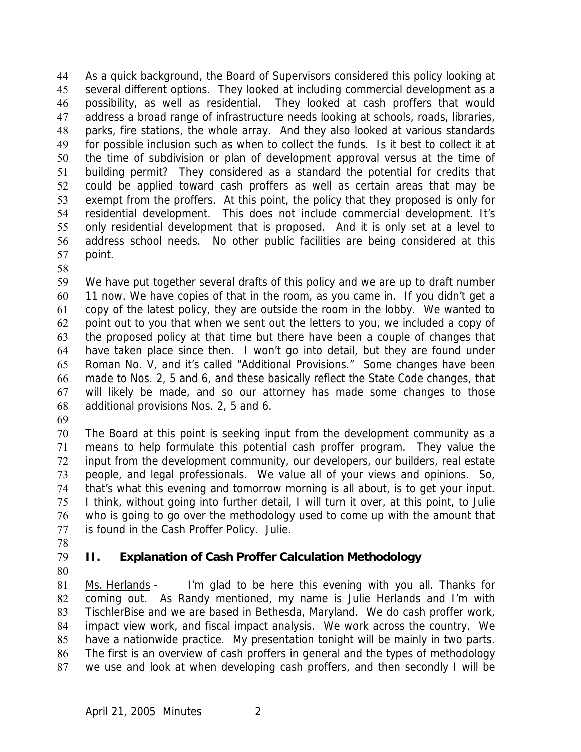As a quick background, the Board of Supervisors considered this policy looking at several different options. They looked at including commercial development as a possibility, as well as residential. They looked at cash proffers that would address a broad range of infrastructure needs looking at schools, roads, libraries, parks, fire stations, the whole array. And they also looked at various standards for possible inclusion such as when to collect the funds. Is it best to collect it at the time of subdivision or plan of development approval versus at the time of building permit? They considered as a standard the potential for credits that could be applied toward cash proffers as well as certain areas that may be exempt from the proffers. At this point, the policy that they proposed is only for residential development. This does not include commercial development. It's only residential development that is proposed. And it is only set at a level to address school needs. No other public facilities are being considered at this point. 44 45 46 47 48 49 50 51 52 53 54 55 56 57

58

59 60 61 62 63 64 65 66 67 68 We have put together several drafts of this policy and we are up to draft number 11 now. We have copies of that in the room, as you came in. If you didn't get a copy of the latest policy, they are outside the room in the lobby. We wanted to point out to you that when we sent out the letters to you, we included a copy of the proposed policy at that time but there have been a couple of changes that have taken place since then. I won't go into detail, but they are found under Roman No. V, and it's called "Additional Provisions." Some changes have been made to Nos. 2, 5 and 6, and these basically reflect the State Code changes, that will likely be made, and so our attorney has made some changes to those additional provisions Nos. 2, 5 and 6.

69

70 71 72 73 74 75 76 77 The Board at this point is seeking input from the development community as a means to help formulate this potential cash proffer program. They value the input from the development community, our developers, our builders, real estate people, and legal professionals. We value all of your views and opinions. So, that's what this evening and tomorrow morning is all about, is to get your input. I think, without going into further detail, I will turn it over, at this point, to Julie who is going to go over the methodology used to come up with the amount that is found in the Cash Proffer Policy. Julie.

78

## 79

# **II. Explanation of Cash Proffer Calculation Methodology**

80

Ms. Herlands - I'm glad to be here this evening with you all. Thanks for coming out. As Randy mentioned, my name is Julie Herlands and I'm with TischlerBise and we are based in Bethesda, Maryland. We do cash proffer work, impact view work, and fiscal impact analysis. We work across the country. We have a nationwide practice. My presentation tonight will be mainly in two parts. The first is an overview of cash proffers in general and the types of methodology we use and look at when developing cash proffers, and then secondly I will be 81 82 83 84 85 86 87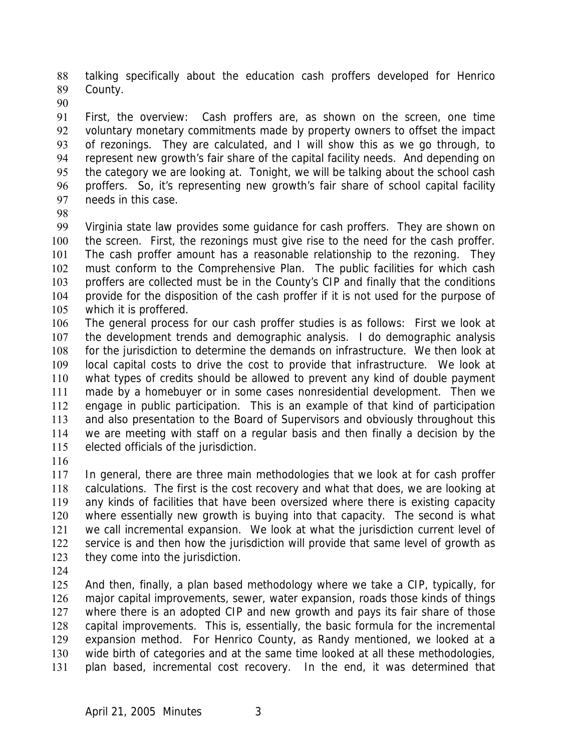talking specifically about the education cash proffers developed for Henrico County. 88 89

90

91 92 93 94 95 96 97 First, the overview: Cash proffers are, as shown on the screen, one time voluntary monetary commitments made by property owners to offset the impact of rezonings. They are calculated, and I will show this as we go through, to represent new growth's fair share of the capital facility needs. And depending on the category we are looking at. Tonight, we will be talking about the school cash proffers. So, it's representing new growth's fair share of school capital facility needs in this case.

98

99 100 101 102 103 104 105 Virginia state law provides some guidance for cash proffers. They are shown on the screen. First, the rezonings must give rise to the need for the cash proffer. The cash proffer amount has a reasonable relationship to the rezoning. They must conform to the Comprehensive Plan. The public facilities for which cash proffers are collected must be in the County's CIP and finally that the conditions provide for the disposition of the cash proffer if it is not used for the purpose of which it is proffered.

106 107 108 109 110 111 112 113 114 115 The general process for our cash proffer studies is as follows: First we look at the development trends and demographic analysis. I do demographic analysis for the jurisdiction to determine the demands on infrastructure. We then look at local capital costs to drive the cost to provide that infrastructure. We look at what types of credits should be allowed to prevent any kind of double payment made by a homebuyer or in some cases nonresidential development. Then we engage in public participation. This is an example of that kind of participation and also presentation to the Board of Supervisors and obviously throughout this we are meeting with staff on a regular basis and then finally a decision by the elected officials of the jurisdiction.

116

117 118 119 120 121 122 123 In general, there are three main methodologies that we look at for cash proffer calculations. The first is the cost recovery and what that does, we are looking at any kinds of facilities that have been oversized where there is existing capacity where essentially new growth is buying into that capacity. The second is what we call incremental expansion. We look at what the jurisdiction current level of service is and then how the jurisdiction will provide that same level of growth as they come into the jurisdiction.

124

125 126 127 128 129 130 131 And then, finally, a plan based methodology where we take a CIP, typically, for major capital improvements, sewer, water expansion, roads those kinds of things where there is an adopted CIP and new growth and pays its fair share of those capital improvements. This is, essentially, the basic formula for the incremental expansion method. For Henrico County, as Randy mentioned, we looked at a wide birth of categories and at the same time looked at all these methodologies, plan based, incremental cost recovery. In the end, it was determined that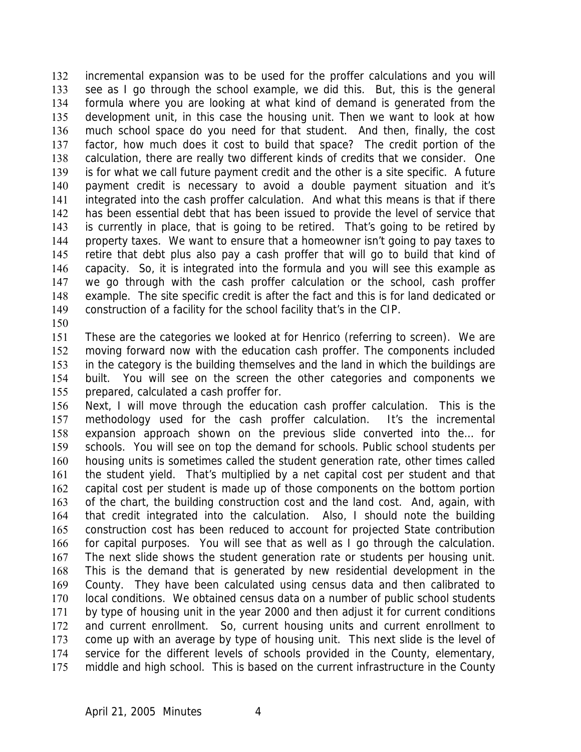incremental expansion was to be used for the proffer calculations and you will see as I go through the school example, we did this. But, this is the general formula where you are looking at what kind of demand is generated from the development unit, in this case the housing unit. Then we want to look at how much school space do you need for that student. And then, finally, the cost factor, how much does it cost to build that space? The credit portion of the calculation, there are really two different kinds of credits that we consider. One is for what we call future payment credit and the other is a site specific. A future payment credit is necessary to avoid a double payment situation and it's integrated into the cash proffer calculation. And what this means is that if there has been essential debt that has been issued to provide the level of service that is currently in place, that is going to be retired. That's going to be retired by property taxes. We want to ensure that a homeowner isn't going to pay taxes to retire that debt plus also pay a cash proffer that will go to build that kind of capacity. So, it is integrated into the formula and you will see this example as we go through with the cash proffer calculation or the school, cash proffer example. The site specific credit is after the fact and this is for land dedicated or construction of a facility for the school facility that's in the CIP. 132 133 134 135 136 137 138 139 140 141 142 143 144 145 146 147 148 149

150

151 152 153 154 155 These are the categories we looked at for Henrico (referring to screen). We are moving forward now with the education cash proffer. The components included in the category is the building themselves and the land in which the buildings are built. You will see on the screen the other categories and components we prepared, calculated a cash proffer for.

156 157 158 159 160 161 162 163 164 165 166 167 168 169 170 171 172 173 174 175 Next, I will move through the education cash proffer calculation. This is the methodology used for the cash proffer calculation. It's the incremental expansion approach shown on the previous slide converted into the… for schools. You will see on top the demand for schools. Public school students per housing units is sometimes called the student generation rate, other times called the student yield. That's multiplied by a net capital cost per student and that capital cost per student is made up of those components on the bottom portion of the chart, the building construction cost and the land cost. And, again, with that credit integrated into the calculation. Also, I should note the building construction cost has been reduced to account for projected State contribution for capital purposes. You will see that as well as I go through the calculation. The next slide shows the student generation rate or students per housing unit. This is the demand that is generated by new residential development in the County. They have been calculated using census data and then calibrated to local conditions. We obtained census data on a number of public school students by type of housing unit in the year 2000 and then adjust it for current conditions and current enrollment. So, current housing units and current enrollment to come up with an average by type of housing unit. This next slide is the level of service for the different levels of schools provided in the County, elementary, middle and high school. This is based on the current infrastructure in the County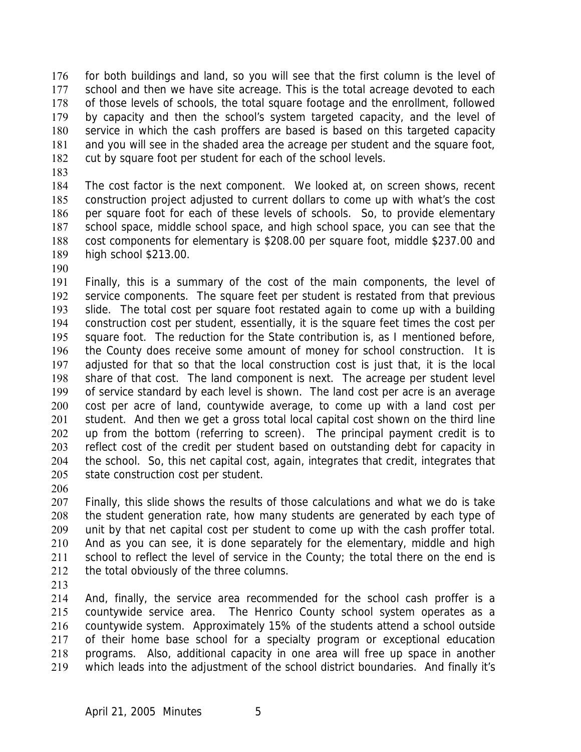for both buildings and land, so you will see that the first column is the level of school and then we have site acreage. This is the total acreage devoted to each of those levels of schools, the total square footage and the enrollment, followed by capacity and then the school's system targeted capacity, and the level of service in which the cash proffers are based is based on this targeted capacity and you will see in the shaded area the acreage per student and the square foot, cut by square foot per student for each of the school levels. 176 177 178 179 180 181 182

183

184 185 186 187 188 189 The cost factor is the next component. We looked at, on screen shows, recent construction project adjusted to current dollars to come up with what's the cost per square foot for each of these levels of schools. So, to provide elementary school space, middle school space, and high school space, you can see that the cost components for elementary is \$208.00 per square foot, middle \$237.00 and high school \$213.00.

190

191 192 193 194 195 196 197 198 199 200 201 202 203 204 205 Finally, this is a summary of the cost of the main components, the level of service components. The square feet per student is restated from that previous slide. The total cost per square foot restated again to come up with a building construction cost per student, essentially, it is the square feet times the cost per square foot. The reduction for the State contribution is, as I mentioned before, the County does receive some amount of money for school construction. It is adjusted for that so that the local construction cost is just that, it is the local share of that cost. The land component is next. The acreage per student level of service standard by each level is shown. The land cost per acre is an average cost per acre of land, countywide average, to come up with a land cost per student. And then we get a gross total local capital cost shown on the third line up from the bottom (referring to screen). The principal payment credit is to reflect cost of the credit per student based on outstanding debt for capacity in the school. So, this net capital cost, again, integrates that credit, integrates that state construction cost per student.

206

207 208 209 210 211 212 Finally, this slide shows the results of those calculations and what we do is take the student generation rate, how many students are generated by each type of unit by that net capital cost per student to come up with the cash proffer total. And as you can see, it is done separately for the elementary, middle and high school to reflect the level of service in the County; the total there on the end is the total obviously of the three columns.

213

214 215 216 217 218 219 And, finally, the service area recommended for the school cash proffer is a countywide service area. The Henrico County school system operates as a countywide system. Approximately 15% of the students attend a school outside of their home base school for a specialty program or exceptional education programs. Also, additional capacity in one area will free up space in another which leads into the adjustment of the school district boundaries. And finally it's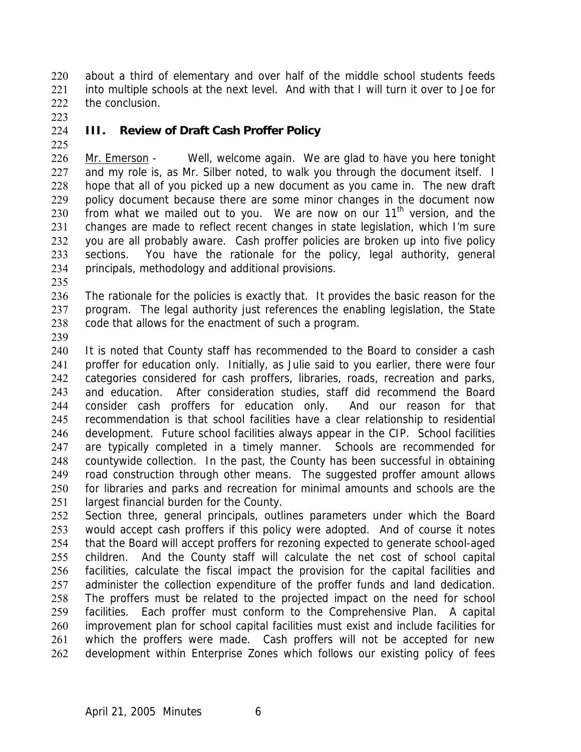about a third of elementary and over half of the middle school students feeds into multiple schools at the next level. And with that I will turn it over to Joe for the conclusion. 220 221 222

223 224

## **III. Review of Draft Cash Proffer Policy**

225

Mr. Emerson - Well, welcome again. We are glad to have you here tonight and my role is, as Mr. Silber noted, to walk you through the document itself. I hope that all of you picked up a new document as you came in. The new draft policy document because there are some minor changes in the document now from what we mailed out to you. We are now on our 11<sup>th</sup> version, and the 226 227 228 229 230 231 232 233 234 changes are made to reflect recent changes in state legislation, which I'm sure you are all probably aware. Cash proffer policies are broken up into five policy sections. You have the rationale for the policy, legal authority, general principals, methodology and additional provisions.

235

236 237 238 The rationale for the policies is exactly that. It provides the basic reason for the program. The legal authority just references the enabling legislation, the State code that allows for the enactment of such a program.

239

240 241 242 243 244 245 246 247 248 249 250 251 It is noted that County staff has recommended to the Board to consider a cash proffer for education only. Initially, as Julie said to you earlier, there were four categories considered for cash proffers, libraries, roads, recreation and parks, and education. After consideration studies, staff did recommend the Board consider cash proffers for education only. And our reason for that recommendation is that school facilities have a clear relationship to residential development. Future school facilities always appear in the CIP. School facilities are typically completed in a timely manner. Schools are recommended for countywide collection. In the past, the County has been successful in obtaining road construction through other means. The suggested proffer amount allows for libraries and parks and recreation for minimal amounts and schools are the largest financial burden for the County.

252 253 254 255 256 257 258 259 260 261 262 Section three, general principals, outlines parameters under which the Board would accept cash proffers if this policy were adopted. And of course it notes that the Board will accept proffers for rezoning expected to generate school-aged children. And the County staff will calculate the net cost of school capital facilities, calculate the fiscal impact the provision for the capital facilities and administer the collection expenditure of the proffer funds and land dedication. The proffers must be related to the projected impact on the need for school facilities. Each proffer must conform to the Comprehensive Plan. A capital improvement plan for school capital facilities must exist and include facilities for which the proffers were made. Cash proffers will not be accepted for new development within Enterprise Zones which follows our existing policy of fees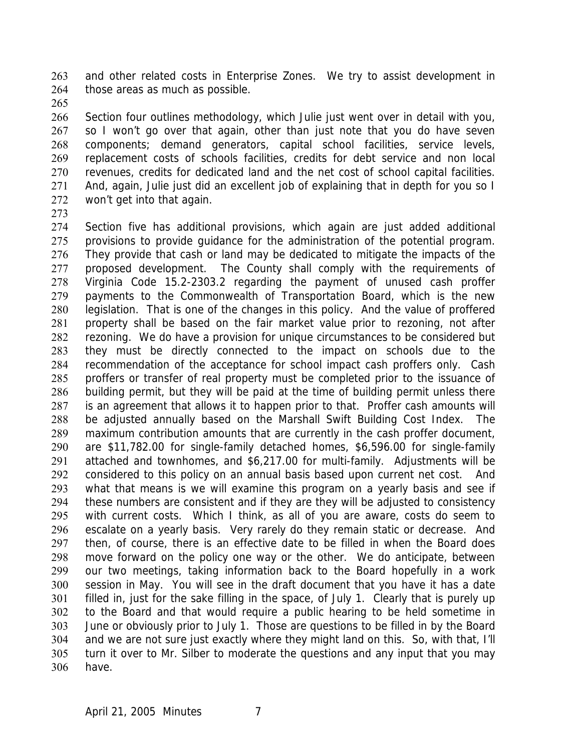and other related costs in Enterprise Zones. We try to assist development in those areas as much as possible. 263 264

265

266 267 268 269 270 271 272 Section four outlines methodology, which Julie just went over in detail with you, so I won't go over that again, other than just note that you do have seven components; demand generators, capital school facilities, service levels, replacement costs of schools facilities, credits for debt service and non local revenues, credits for dedicated land and the net cost of school capital facilities. And, again, Julie just did an excellent job of explaining that in depth for you so I won't get into that again.

273

274 275 276 277 278 279 280 281 282 283 284 285 286 287 288 289 290 291 292 293 294 295 296 297 298 299 300 301 302 303 304 305 306 Section five has additional provisions, which again are just added additional provisions to provide guidance for the administration of the potential program. They provide that cash or land may be dedicated to mitigate the impacts of the proposed development. The County shall comply with the requirements of Virginia Code 15.2-2303.2 regarding the payment of unused cash proffer payments to the Commonwealth of Transportation Board, which is the new legislation. That is one of the changes in this policy. And the value of proffered property shall be based on the fair market value prior to rezoning, not after rezoning. We do have a provision for unique circumstances to be considered but they must be directly connected to the impact on schools due to the recommendation of the acceptance for school impact cash proffers only. Cash proffers or transfer of real property must be completed prior to the issuance of building permit, but they will be paid at the time of building permit unless there is an agreement that allows it to happen prior to that. Proffer cash amounts will be adjusted annually based on the Marshall Swift Building Cost Index. The maximum contribution amounts that are currently in the cash proffer document, are \$11,782.00 for single-family detached homes, \$6,596.00 for single-family attached and townhomes, and \$6,217.00 for multi-family. Adjustments will be considered to this policy on an annual basis based upon current net cost. And what that means is we will examine this program on a yearly basis and see if these numbers are consistent and if they are they will be adjusted to consistency with current costs. Which I think, as all of you are aware, costs do seem to escalate on a yearly basis. Very rarely do they remain static or decrease. And then, of course, there is an effective date to be filled in when the Board does move forward on the policy one way or the other. We do anticipate, between our two meetings, taking information back to the Board hopefully in a work session in May. You will see in the draft document that you have it has a date filled in, just for the sake filling in the space, of July 1. Clearly that is purely up to the Board and that would require a public hearing to be held sometime in June or obviously prior to July 1. Those are questions to be filled in by the Board and we are not sure just exactly where they might land on this. So, with that, I'll turn it over to Mr. Silber to moderate the questions and any input that you may have.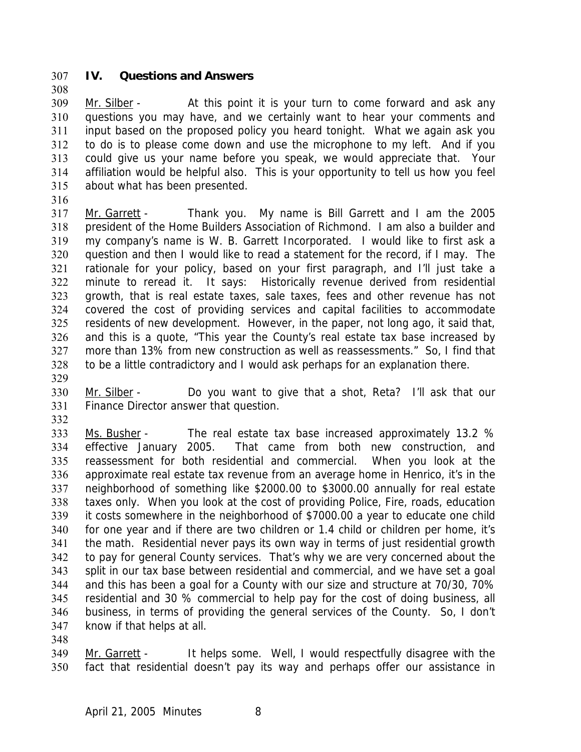### 307 **IV. Questions and Answers**

Mr. Silber - At this point it is your turn to come forward and ask any questions you may have, and we certainly want to hear your comments and input based on the proposed policy you heard tonight. What we again ask you to do is to please come down and use the microphone to my left. And if you could give us your name before you speak, we would appreciate that. Your affiliation would be helpful also. This is your opportunity to tell us how you feel about what has been presented. 309 310 311 312 313 314 315

316

308

Mr. Garrett - Thank you. My name is Bill Garrett and I am the 2005 president of the Home Builders Association of Richmond. I am also a builder and my company's name is W. B. Garrett Incorporated. I would like to first ask a question and then I would like to read a statement for the record, if I may. The rationale for your policy, based on your first paragraph, and I'll just take a minute to reread it. It says: Historically revenue derived from residential growth, that is real estate taxes, sale taxes, fees and other revenue has not covered the cost of providing services and capital facilities to accommodate residents of new development. However, in the paper, not long ago, it said that, and this is a quote, "This year the County's real estate tax base increased by more than 13% from new construction as well as reassessments." So, I find that to be a little contradictory and I would ask perhaps for an explanation there. 317 318 319 320 321 322 323 324 325 326 327 328

329

Mr. Silber - Do you want to give that a shot, Reta? I'll ask that our Finance Director answer that question. 330 331

332

Ms. Busher - The real estate tax base increased approximately 13.2 % effective January 2005. That came from both new construction, and reassessment for both residential and commercial. When you look at the approximate real estate tax revenue from an average home in Henrico, it's in the neighborhood of something like \$2000.00 to \$3000.00 annually for real estate taxes only. When you look at the cost of providing Police, Fire, roads, education it costs somewhere in the neighborhood of \$7000.00 a year to educate one child for one year and if there are two children or 1.4 child or children per home, it's the math. Residential never pays its own way in terms of just residential growth to pay for general County services. That's why we are very concerned about the split in our tax base between residential and commercial, and we have set a goal and this has been a goal for a County with our size and structure at 70/30, 70% residential and 30 % commercial to help pay for the cost of doing business, all business, in terms of providing the general services of the County. So, I don't know if that helps at all. 333 334 335 336 337 338 339 340 341 342 343 344 345 346 347

348

Mr. Garrett - It helps some. Well, I would respectfully disagree with the fact that residential doesn't pay its way and perhaps offer our assistance in 349 350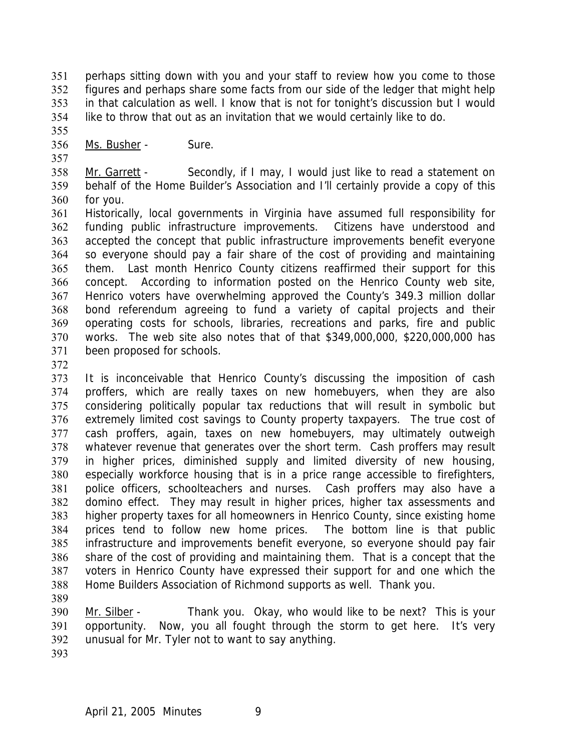perhaps sitting down with you and your staff to review how you come to those figures and perhaps share some facts from our side of the ledger that might help in that calculation as well. I know that is not for tonight's discussion but I would like to throw that out as an invitation that we would certainly like to do. 351 352 353 354

355

356 Ms. Busher - Sure.

357

Mr. Garrett - Secondly, if I may, I would just like to read a statement on behalf of the Home Builder's Association and I'll certainly provide a copy of this for you. 358 359 360

361 362 363 364 365 366 367 368 369 370 371 Historically, local governments in Virginia have assumed full responsibility for funding public infrastructure improvements. Citizens have understood and accepted the concept that public infrastructure improvements benefit everyone so everyone should pay a fair share of the cost of providing and maintaining them. Last month Henrico County citizens reaffirmed their support for this concept. According to information posted on the Henrico County web site, Henrico voters have overwhelming approved the County's 349.3 million dollar bond referendum agreeing to fund a variety of capital projects and their operating costs for schools, libraries, recreations and parks, fire and public works. The web site also notes that of that \$349,000,000, \$220,000,000 has been proposed for schools.

372

373 374 375 376 377 378 379 380 381 382 383 384 385 386 387 388 It is inconceivable that Henrico County's discussing the imposition of cash proffers, which are really taxes on new homebuyers, when they are also considering politically popular tax reductions that will result in symbolic but extremely limited cost savings to County property taxpayers. The true cost of cash proffers, again, taxes on new homebuyers, may ultimately outweigh whatever revenue that generates over the short term. Cash proffers may result in higher prices, diminished supply and limited diversity of new housing, especially workforce housing that is in a price range accessible to firefighters, police officers, schoolteachers and nurses. Cash proffers may also have a domino effect. They may result in higher prices, higher tax assessments and higher property taxes for all homeowners in Henrico County, since existing home prices tend to follow new home prices. The bottom line is that public infrastructure and improvements benefit everyone, so everyone should pay fair share of the cost of providing and maintaining them. That is a concept that the voters in Henrico County have expressed their support for and one which the Home Builders Association of Richmond supports as well. Thank you.

389

Mr. Silber - Thank you. Okay, who would like to be next? This is your opportunity. Now, you all fought through the storm to get here. It's very unusual for Mr. Tyler not to want to say anything. 390 391 392

393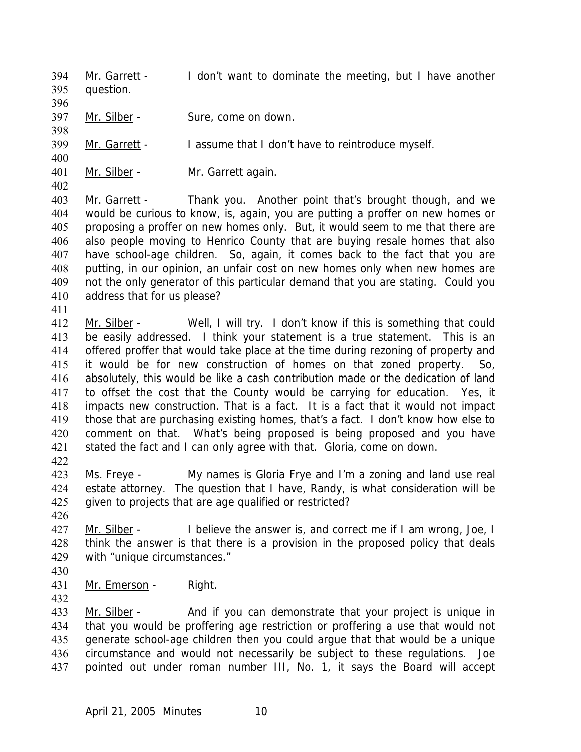Mr. Garrett - I don't want to dominate the meeting, but I have another question. 394 395 396 397 Mr. Silber - Sure, come on down. 398 399 Mr. Garrett - I assume that I don't have to reintroduce myself. 400

402

411

401 Mr. Silber - Mr. Garrett again.

Mr. Garrett - Thank you. Another point that's brought though, and we would be curious to know, is, again, you are putting a proffer on new homes or proposing a proffer on new homes only. But, it would seem to me that there are also people moving to Henrico County that are buying resale homes that also have school-age children. So, again, it comes back to the fact that you are putting, in our opinion, an unfair cost on new homes only when new homes are not the only generator of this particular demand that you are stating. Could you address that for us please? 403 404 405 406 407 408 409 410

- Mr. Silber Well, I will try. I don't know if this is something that could be easily addressed. I think your statement is a true statement. This is an offered proffer that would take place at the time during rezoning of property and it would be for new construction of homes on that zoned property. So, absolutely, this would be like a cash contribution made or the dedication of land to offset the cost that the County would be carrying for education. Yes, it impacts new construction. That is a fact. It is a fact that it would not impact those that are purchasing existing homes, that's a fact. I don't know how else to comment on that. What's being proposed is being proposed and you have stated the fact and I can only agree with that. Gloria, come on down. 412 413 414 415 416 417 418 419 420 421
- 422
- Ms. Freye My names is Gloria Frye and I'm a zoning and land use real estate attorney. The question that I have, Randy, is what consideration will be given to projects that are age qualified or restricted? 423 424 425
- 426

Mr. Silber - I believe the answer is, and correct me if I am wrong, Joe, I think the answer is that there is a provision in the proposed policy that deals with "unique circumstances." 427 428 429

- 430
- 431 Mr. Emerson Right. 432

Mr. Silber - And if you can demonstrate that your project is unique in that you would be proffering age restriction or proffering a use that would not generate school-age children then you could argue that that would be a unique circumstance and would not necessarily be subject to these regulations. Joe pointed out under roman number III, No. 1, it says the Board will accept 433 434 435 436 437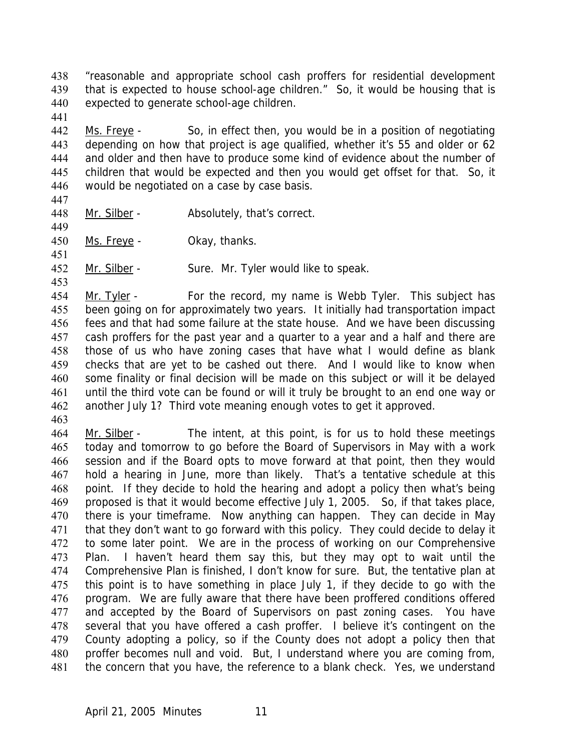"reasonable and appropriate school cash proffers for residential development that is expected to house school-age children." So, it would be housing that is expected to generate school-age children. 438 439 440

Ms. Freye - So, in effect then, you would be in a position of negotiating depending on how that project is age qualified, whether it's 55 and older or 62 and older and then have to produce some kind of evidence about the number of children that would be expected and then you would get offset for that. So, it would be negotiated on a case by case basis. 442 443 444 445 446

447

449

451

441

448 Mr. Silber - Absolutely, that's correct.

450 Ms. Freye - Okay, thanks.

452 Mr. Silber - Sure. Mr. Tyler would like to speak.

453

Mr. Tyler - For the record, my name is Webb Tyler. This subject has been going on for approximately two years. It initially had transportation impact fees and that had some failure at the state house. And we have been discussing cash proffers for the past year and a quarter to a year and a half and there are those of us who have zoning cases that have what I would define as blank checks that are yet to be cashed out there. And I would like to know when some finality or final decision will be made on this subject or will it be delayed until the third vote can be found or will it truly be brought to an end one way or another July 1? Third vote meaning enough votes to get it approved. 454 455 456 457 458 459 460 461 462

463

Mr. Silber - The intent, at this point, is for us to hold these meetings today and tomorrow to go before the Board of Supervisors in May with a work session and if the Board opts to move forward at that point, then they would hold a hearing in June, more than likely. That's a tentative schedule at this point. If they decide to hold the hearing and adopt a policy then what's being proposed is that it would become effective July 1, 2005. So, if that takes place, there is your timeframe. Now anything can happen. They can decide in May that they don't want to go forward with this policy. They could decide to delay it to some later point. We are in the process of working on our Comprehensive Plan. I haven't heard them say this, but they may opt to wait until the Comprehensive Plan is finished, I don't know for sure. But, the tentative plan at this point is to have something in place July 1, if they decide to go with the program. We are fully aware that there have been proffered conditions offered and accepted by the Board of Supervisors on past zoning cases. You have several that you have offered a cash proffer. I believe it's contingent on the County adopting a policy, so if the County does not adopt a policy then that proffer becomes null and void. But, I understand where you are coming from, the concern that you have, the reference to a blank check. Yes, we understand 464 465 466 467 468 469 470 471 472 473 474 475 476 477 478 479 480 481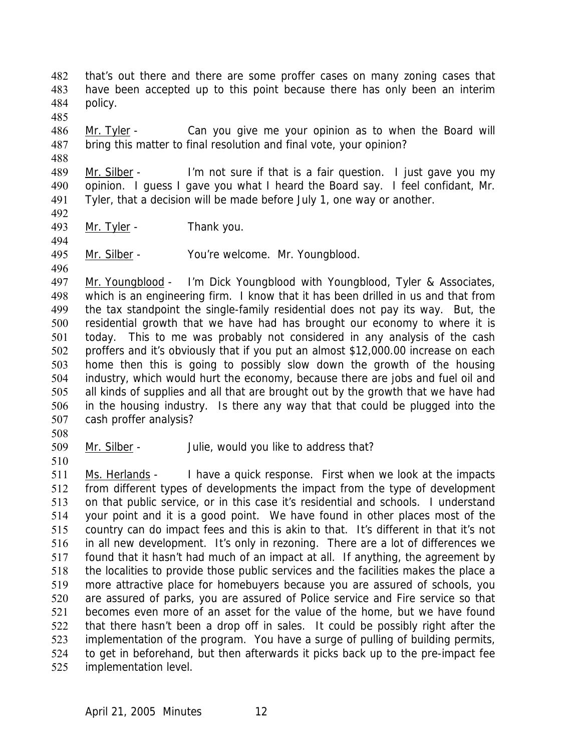that's out there and there are some proffer cases on many zoning cases that have been accepted up to this point because there has only been an interim policy. 482 483 484

Mr. Tyler - Can you give me your opinion as to when the Board will bring this matter to final resolution and final vote, your opinion? 486 487

488

485

Mr. Silber - I'm not sure if that is a fair question. I just gave you my opinion. I guess I gave you what I heard the Board say. I feel confidant, Mr. Tyler, that a decision will be made before July 1, one way or another. 489 490 491

492

493 Mr. Tyler - Thank you.

495 Mr. Silber - You're welcome. Mr. Youngblood.

496

494

Mr. Youngblood - I'm Dick Youngblood with Youngblood, Tyler & Associates, which is an engineering firm. I know that it has been drilled in us and that from the tax standpoint the single-family residential does not pay its way. But, the residential growth that we have had has brought our economy to where it is today. This to me was probably not considered in any analysis of the cash proffers and it's obviously that if you put an almost \$12,000.00 increase on each home then this is going to possibly slow down the growth of the housing industry, which would hurt the economy, because there are jobs and fuel oil and all kinds of supplies and all that are brought out by the growth that we have had in the housing industry. Is there any way that that could be plugged into the cash proffer analysis? 497 498 499 500 501 502 503 504 505 506 507

508

509 Mr. Silber - Julie, would you like to address that?

510

Ms. Herlands - I have a quick response. First when we look at the impacts from different types of developments the impact from the type of development on that public service, or in this case it's residential and schools. I understand your point and it is a good point. We have found in other places most of the country can do impact fees and this is akin to that. It's different in that it's not in all new development. It's only in rezoning. There are a lot of differences we found that it hasn't had much of an impact at all. If anything, the agreement by the localities to provide those public services and the facilities makes the place a more attractive place for homebuyers because you are assured of schools, you are assured of parks, you are assured of Police service and Fire service so that becomes even more of an asset for the value of the home, but we have found that there hasn't been a drop off in sales. It could be possibly right after the implementation of the program. You have a surge of pulling of building permits, to get in beforehand, but then afterwards it picks back up to the pre-impact fee implementation level. 511 512 513 514 515 516 517 518 519 520 521 522 523 524 525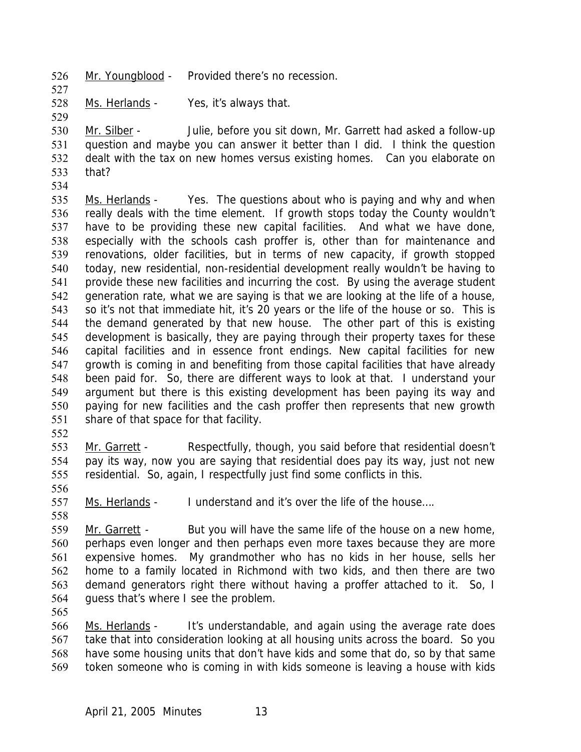- 526 Mr. Youngblood Provided there's no recession.
- 528 Ms. Herlands Yes, it's always that.

529

527

Mr. Silber - Julie, before you sit down, Mr. Garrett had asked a follow-up question and maybe you can answer it better than I did. I think the question dealt with the tax on new homes versus existing homes. Can you elaborate on that? 530 531 532 533 534

- Ms. Herlands Yes. The questions about who is paying and why and when really deals with the time element. If growth stops today the County wouldn't have to be providing these new capital facilities. And what we have done, especially with the schools cash proffer is, other than for maintenance and renovations, older facilities, but in terms of new capacity, if growth stopped today, new residential, non-residential development really wouldn't be having to provide these new facilities and incurring the cost. By using the average student generation rate, what we are saying is that we are looking at the life of a house, so it's not that immediate hit, it's 20 years or the life of the house or so. This is the demand generated by that new house. The other part of this is existing development is basically, they are paying through their property taxes for these capital facilities and in essence front endings. New capital facilities for new growth is coming in and benefiting from those capital facilities that have already been paid for. So, there are different ways to look at that. I understand your argument but there is this existing development has been paying its way and paying for new facilities and the cash proffer then represents that new growth share of that space for that facility. 535 536 537 538 539 540 541 542 543 544 545 546 547 548 549 550 551
- 552

Mr. Garrett - Respectfully, though, you said before that residential doesn't pay its way, now you are saying that residential does pay its way, just not new residential. So, again, I respectfully just find some conflicts in this. 553 554 555

557 Ms. Herlands - I understand and it's over the life of the house....

558

556

Mr. Garrett - But you will have the same life of the house on a new home, perhaps even longer and then perhaps even more taxes because they are more expensive homes. My grandmother who has no kids in her house, sells her home to a family located in Richmond with two kids, and then there are two demand generators right there without having a proffer attached to it. So, I guess that's where I see the problem. 559 560 561 562 563 564

565

Ms. Herlands - It's understandable, and again using the average rate does take that into consideration looking at all housing units across the board. So you have some housing units that don't have kids and some that do, so by that same token someone who is coming in with kids someone is leaving a house with kids 566 567 568 569